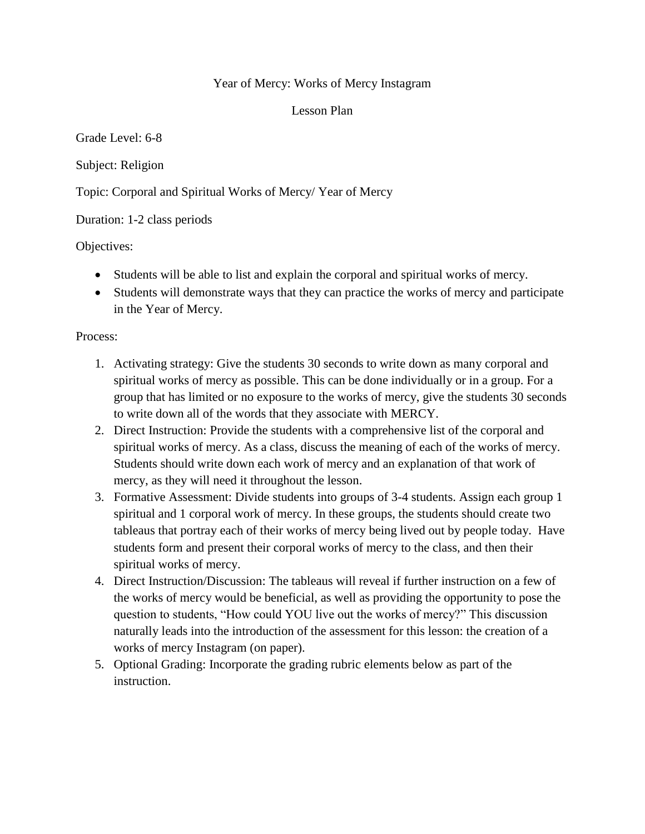## Year of Mercy: Works of Mercy Instagram

Lesson Plan

Grade Level: 6-8

Subject: Religion

Topic: Corporal and Spiritual Works of Mercy/ Year of Mercy

Duration: 1-2 class periods

Objectives:

- Students will be able to list and explain the corporal and spiritual works of mercy.
- Students will demonstrate ways that they can practice the works of mercy and participate in the Year of Mercy.

Process:

- 1. Activating strategy: Give the students 30 seconds to write down as many corporal and spiritual works of mercy as possible. This can be done individually or in a group. For a group that has limited or no exposure to the works of mercy, give the students 30 seconds to write down all of the words that they associate with MERCY.
- 2. Direct Instruction: Provide the students with a comprehensive list of the corporal and spiritual works of mercy. As a class, discuss the meaning of each of the works of mercy. Students should write down each work of mercy and an explanation of that work of mercy, as they will need it throughout the lesson.
- 3. Formative Assessment: Divide students into groups of 3-4 students. Assign each group 1 spiritual and 1 corporal work of mercy. In these groups, the students should create two tableaus that portray each of their works of mercy being lived out by people today. Have students form and present their corporal works of mercy to the class, and then their spiritual works of mercy.
- 4. Direct Instruction/Discussion: The tableaus will reveal if further instruction on a few of the works of mercy would be beneficial, as well as providing the opportunity to pose the question to students, "How could YOU live out the works of mercy?" This discussion naturally leads into the introduction of the assessment for this lesson: the creation of a works of mercy Instagram (on paper).
- 5. Optional Grading: Incorporate the grading rubric elements below as part of the instruction.